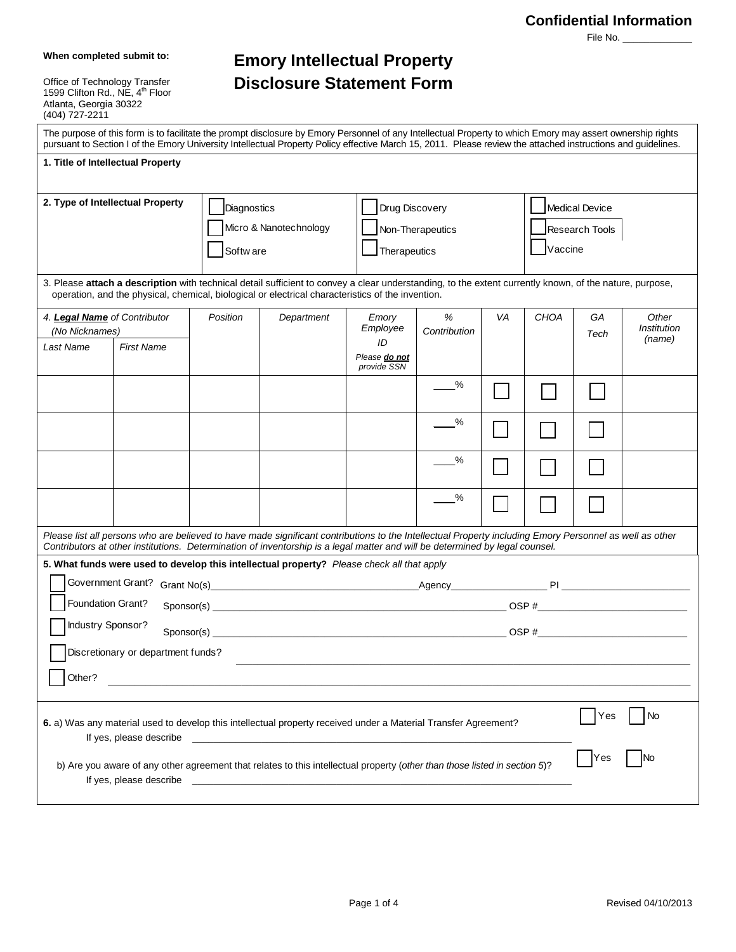### **Confidential Information**

File No.

**When completed submit to:**

Office of Technology Transfer<br>1599 Clifton Rd., NE, 4<sup>th</sup> Floor Atlanta, Georgia 30322 (404) 727-2211

# **Emory Intellectual Property Disclosure Statement Form**

|                                                |                                    |                                                    | The purpose of this form is to facilitate the prompt disclosure by Emory Personnel of any Intellectual Property to which Emory may assert ownership rights<br>pursuant to Section I of the Emory University Intellectual Property Policy effective March 15, 2011. Please review the attached instructions and guidelines. |                                                    |                   |    |                                             |            |                      |
|------------------------------------------------|------------------------------------|----------------------------------------------------|----------------------------------------------------------------------------------------------------------------------------------------------------------------------------------------------------------------------------------------------------------------------------------------------------------------------------|----------------------------------------------------|-------------------|----|---------------------------------------------|------------|----------------------|
|                                                | 1. Title of Intellectual Property  |                                                    |                                                                                                                                                                                                                                                                                                                            |                                                    |                   |    |                                             |            |                      |
| 2. Type of Intellectual Property               |                                    | Diagnostics<br>Micro & Nanotechnology<br>Softw are |                                                                                                                                                                                                                                                                                                                            | Drug Discovery<br>Non-Therapeutics<br>Therapeutics |                   |    | Medical Device<br>Research Tools<br>Vaccine |            |                      |
|                                                |                                    |                                                    | 3. Please attach a description with technical detail sufficient to convey a clear understanding, to the extent currently known, of the nature, purpose,<br>operation, and the physical, chemical, biological or electrical characteristics of the invention.                                                               |                                                    |                   |    |                                             |            |                      |
| 4. Legal Name of Contributor<br>(No Nicknames) |                                    | Position                                           | Department                                                                                                                                                                                                                                                                                                                 | Emory<br>Employee                                  | %<br>Contribution | VA | <b>CHOA</b>                                 | GA<br>Tech | Other<br>Institution |
| Last Name                                      | <b>First Name</b>                  |                                                    |                                                                                                                                                                                                                                                                                                                            | ID<br>Please do not<br>provide SSN                 |                   |    |                                             |            | (name)               |
|                                                |                                    |                                                    |                                                                                                                                                                                                                                                                                                                            |                                                    | ℅                 |    |                                             |            |                      |
|                                                |                                    |                                                    |                                                                                                                                                                                                                                                                                                                            |                                                    | %                 |    |                                             |            |                      |
|                                                |                                    |                                                    |                                                                                                                                                                                                                                                                                                                            |                                                    | %                 |    |                                             |            |                      |
|                                                |                                    |                                                    |                                                                                                                                                                                                                                                                                                                            |                                                    | %                 |    |                                             |            |                      |
|                                                |                                    |                                                    | Please list all persons who are believed to have made significant contributions to the Intellectual Property including Emory Personnel as well as other<br>Contributors at other institutions. Determination of inventorship is a legal matter and will be determined by legal counsel.                                    |                                                    |                   |    |                                             |            |                      |
|                                                |                                    |                                                    | 5. What funds were used to develop this intellectual property? Please check all that apply                                                                                                                                                                                                                                 |                                                    |                   |    |                                             |            |                      |
|                                                | Foundation Grant?                  |                                                    |                                                                                                                                                                                                                                                                                                                            |                                                    |                   |    |                                             |            |                      |
|                                                | Industry Sponsor?                  |                                                    |                                                                                                                                                                                                                                                                                                                            |                                                    |                   |    |                                             |            |                      |
|                                                | Discretionary or department funds? |                                                    |                                                                                                                                                                                                                                                                                                                            |                                                    |                   |    |                                             |            |                      |
| Other?                                         |                                    |                                                    |                                                                                                                                                                                                                                                                                                                            |                                                    |                   |    |                                             |            |                      |
|                                                | If yes, please describe            |                                                    | 6. a) Was any material used to develop this intellectual property received under a Material Transfer Agreement?                                                                                                                                                                                                            |                                                    |                   |    |                                             | Yes        | No                   |
|                                                | If yes, please describe            |                                                    | b) Are you aware of any other agreement that relates to this intellectual property (other than those listed in section 5)?                                                                                                                                                                                                 |                                                    |                   |    |                                             | Yes        | No                   |
|                                                |                                    |                                                    |                                                                                                                                                                                                                                                                                                                            |                                                    |                   |    |                                             |            |                      |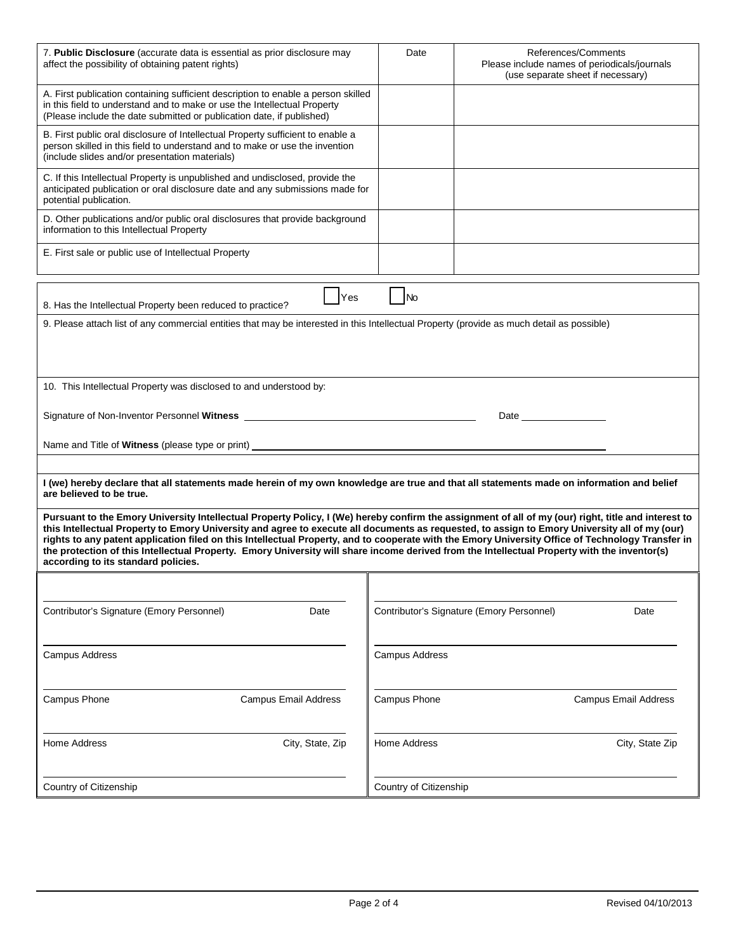| 7. Public Disclosure (accurate data is essential as prior disclosure may<br>affect the possibility of obtaining patent rights)                                                                                                                                                                                                                                                                                                                                                                                                                                                                                                                   | Date                   | References/Comments<br>Please include names of periodicals/journals<br>(use separate sheet if necessary) |
|--------------------------------------------------------------------------------------------------------------------------------------------------------------------------------------------------------------------------------------------------------------------------------------------------------------------------------------------------------------------------------------------------------------------------------------------------------------------------------------------------------------------------------------------------------------------------------------------------------------------------------------------------|------------------------|----------------------------------------------------------------------------------------------------------|
| A. First publication containing sufficient description to enable a person skilled<br>in this field to understand and to make or use the Intellectual Property<br>(Please include the date submitted or publication date, if published)                                                                                                                                                                                                                                                                                                                                                                                                           |                        |                                                                                                          |
| B. First public oral disclosure of Intellectual Property sufficient to enable a<br>person skilled in this field to understand and to make or use the invention<br>(include slides and/or presentation materials)                                                                                                                                                                                                                                                                                                                                                                                                                                 |                        |                                                                                                          |
| C. If this Intellectual Property is unpublished and undisclosed, provide the<br>anticipated publication or oral disclosure date and any submissions made for<br>potential publication.                                                                                                                                                                                                                                                                                                                                                                                                                                                           |                        |                                                                                                          |
| D. Other publications and/or public oral disclosures that provide background<br>information to this Intellectual Property                                                                                                                                                                                                                                                                                                                                                                                                                                                                                                                        |                        |                                                                                                          |
| E. First sale or public use of Intellectual Property                                                                                                                                                                                                                                                                                                                                                                                                                                                                                                                                                                                             |                        |                                                                                                          |
|                                                                                                                                                                                                                                                                                                                                                                                                                                                                                                                                                                                                                                                  |                        |                                                                                                          |
| Yes<br>8. Has the Intellectual Property been reduced to practice?                                                                                                                                                                                                                                                                                                                                                                                                                                                                                                                                                                                | No                     |                                                                                                          |
| 9. Please attach list of any commercial entities that may be interested in this Intellectual Property (provide as much detail as possible)                                                                                                                                                                                                                                                                                                                                                                                                                                                                                                       |                        |                                                                                                          |
|                                                                                                                                                                                                                                                                                                                                                                                                                                                                                                                                                                                                                                                  |                        |                                                                                                          |
|                                                                                                                                                                                                                                                                                                                                                                                                                                                                                                                                                                                                                                                  |                        |                                                                                                          |
| 10. This Intellectual Property was disclosed to and understood by:                                                                                                                                                                                                                                                                                                                                                                                                                                                                                                                                                                               |                        |                                                                                                          |
|                                                                                                                                                                                                                                                                                                                                                                                                                                                                                                                                                                                                                                                  |                        |                                                                                                          |
|                                                                                                                                                                                                                                                                                                                                                                                                                                                                                                                                                                                                                                                  |                        |                                                                                                          |
|                                                                                                                                                                                                                                                                                                                                                                                                                                                                                                                                                                                                                                                  |                        |                                                                                                          |
| I (we) hereby declare that all statements made herein of my own knowledge are true and that all statements made on information and belief<br>are believed to be true.                                                                                                                                                                                                                                                                                                                                                                                                                                                                            |                        |                                                                                                          |
| Pursuant to the Emory University Intellectual Property Policy, I (We) hereby confirm the assignment of all of my (our) right, title and interest to<br>this Intellectual Property to Emory University and agree to execute all documents as requested, to assign to Emory University all of my (our)<br>rights to any patent application filed on this Intellectual Property, and to cooperate with the Emory University Office of Technology Transfer in<br>the protection of this Intellectual Property. Emory University will share income derived from the Intellectual Property with the inventor(s)<br>according to its standard policies. |                        |                                                                                                          |
|                                                                                                                                                                                                                                                                                                                                                                                                                                                                                                                                                                                                                                                  |                        |                                                                                                          |
| Contributor's Signature (Emory Personnel)<br>Date                                                                                                                                                                                                                                                                                                                                                                                                                                                                                                                                                                                                |                        | Contributor's Signature (Emory Personnel)<br>Date                                                        |
| <b>Campus Address</b>                                                                                                                                                                                                                                                                                                                                                                                                                                                                                                                                                                                                                            | <b>Campus Address</b>  |                                                                                                          |
| Campus Phone<br><b>Campus Email Address</b>                                                                                                                                                                                                                                                                                                                                                                                                                                                                                                                                                                                                      | Campus Phone           | Campus Email Address                                                                                     |
| Home Address<br>City, State, Zip                                                                                                                                                                                                                                                                                                                                                                                                                                                                                                                                                                                                                 | Home Address           | City, State Zip                                                                                          |
| Country of Citizenship                                                                                                                                                                                                                                                                                                                                                                                                                                                                                                                                                                                                                           | Country of Citizenship |                                                                                                          |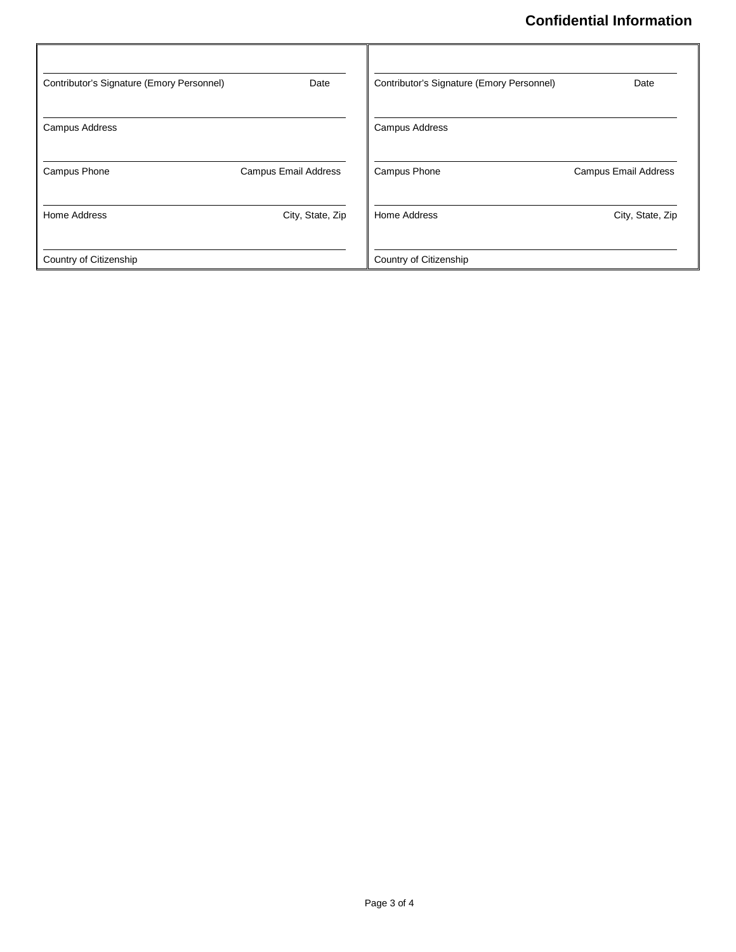## **Confidential Information**

| Contributor's Signature (Emory Personnel) | Date                        | Contributor's Signature (Emory Personnel) | Date                        |
|-------------------------------------------|-----------------------------|-------------------------------------------|-----------------------------|
| <b>Campus Address</b>                     |                             | Campus Address                            |                             |
| Campus Phone                              | <b>Campus Email Address</b> | Campus Phone                              | <b>Campus Email Address</b> |
| <b>Home Address</b>                       | City, State, Zip            | Home Address                              | City, State, Zip            |
| Country of Citizenship                    |                             | Country of Citizenship                    |                             |